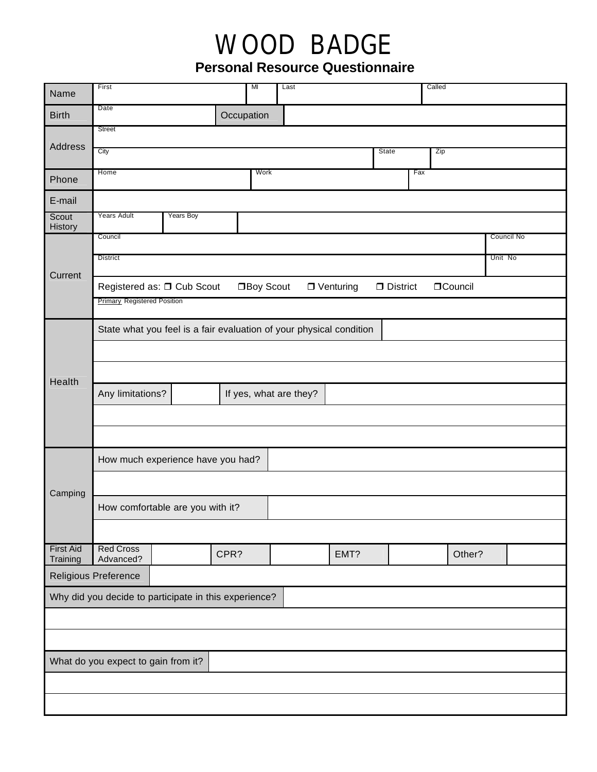## WOOD BADGE

**Personal Resource Questionnaire**

| Name                                                  | First                                                                                              |           |            | MI<br>Last |                        |      |  | Called  |        |            |  |
|-------------------------------------------------------|----------------------------------------------------------------------------------------------------|-----------|------------|------------|------------------------|------|--|---------|--------|------------|--|
| <b>Birth</b>                                          | Date                                                                                               |           | Occupation |            |                        |      |  |         |        |            |  |
|                                                       | <b>Street</b>                                                                                      |           |            |            |                        |      |  |         |        |            |  |
| Address                                               | City<br><b>State</b><br>Zip                                                                        |           |            |            |                        |      |  |         |        |            |  |
|                                                       |                                                                                                    |           |            | Work       |                        |      |  | Fax     |        |            |  |
| Phone                                                 | Home                                                                                               |           |            |            |                        |      |  |         |        |            |  |
| E-mail                                                |                                                                                                    |           |            |            |                        |      |  |         |        |            |  |
| Scout<br>History                                      | <b>Years Adult</b>                                                                                 | Years Boy |            |            |                        |      |  |         |        |            |  |
| Current                                               | Council                                                                                            |           |            |            |                        |      |  |         |        | Council No |  |
|                                                       | <b>District</b>                                                                                    |           |            |            |                        |      |  | Unit No |        |            |  |
|                                                       | Registered as: □ Cub Scout<br>□Boy Scout<br>$\Box$ Venturing<br>$\Box$ District<br><b>OCouncil</b> |           |            |            |                        |      |  |         |        |            |  |
|                                                       | <b>Primary Registered Position</b>                                                                 |           |            |            |                        |      |  |         |        |            |  |
|                                                       | State what you feel is a fair evaluation of your physical condition                                |           |            |            |                        |      |  |         |        |            |  |
|                                                       |                                                                                                    |           |            |            |                        |      |  |         |        |            |  |
|                                                       |                                                                                                    |           |            |            |                        |      |  |         |        |            |  |
| Health                                                | Any limitations?                                                                                   |           |            |            | If yes, what are they? |      |  |         |        |            |  |
|                                                       |                                                                                                    |           |            |            |                        |      |  |         |        |            |  |
|                                                       |                                                                                                    |           |            |            |                        |      |  |         |        |            |  |
|                                                       |                                                                                                    |           |            |            |                        |      |  |         |        |            |  |
|                                                       | How much experience have you had?                                                                  |           |            |            |                        |      |  |         |        |            |  |
| Camping<br><b>First Aid</b>                           |                                                                                                    |           |            |            |                        |      |  |         |        |            |  |
|                                                       | How comfortable are you with it?                                                                   |           |            |            |                        |      |  |         |        |            |  |
|                                                       |                                                                                                    |           |            |            |                        |      |  |         |        |            |  |
|                                                       | <b>Red Cross</b>                                                                                   |           |            |            |                        |      |  |         |        |            |  |
| Training                                              | Advanced?                                                                                          |           | CPR?       |            |                        | EMT? |  |         | Other? |            |  |
| Religious Preference                                  |                                                                                                    |           |            |            |                        |      |  |         |        |            |  |
| Why did you decide to participate in this experience? |                                                                                                    |           |            |            |                        |      |  |         |        |            |  |
|                                                       |                                                                                                    |           |            |            |                        |      |  |         |        |            |  |
|                                                       |                                                                                                    |           |            |            |                        |      |  |         |        |            |  |
| What do you expect to gain from it?                   |                                                                                                    |           |            |            |                        |      |  |         |        |            |  |
|                                                       |                                                                                                    |           |            |            |                        |      |  |         |        |            |  |
|                                                       |                                                                                                    |           |            |            |                        |      |  |         |        |            |  |